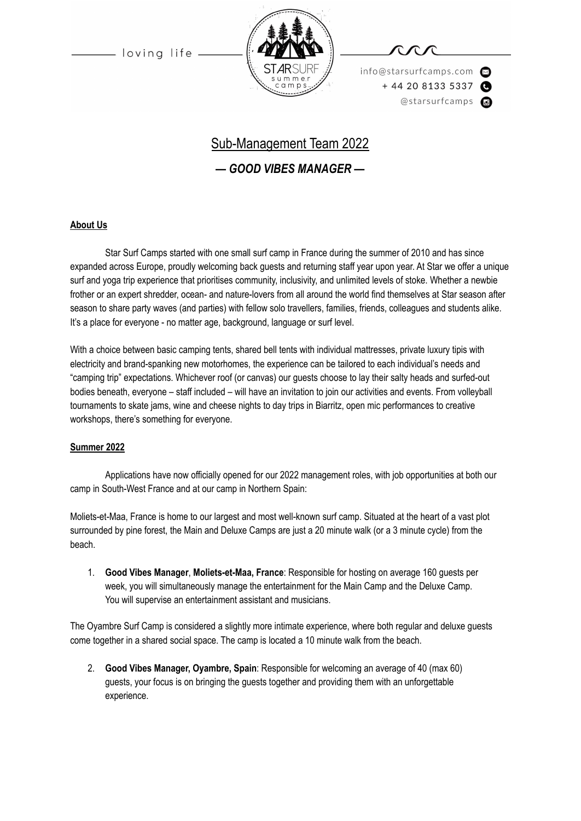loving life



info@starsurfcamps.com  $+442081335337$ @starsurfcamps @

# Sub-Management Team 2022

## *— GOOD VIBES MANAGER —*

#### **About Us**

Star Surf Camps started with one small surf camp in France during the summer of 2010 and has since expanded across Europe, proudly welcoming back guests and returning staff year upon year. At Star we offer a unique surf and yoga trip experience that prioritises community, inclusivity, and unlimited levels of stoke. Whether a newbie frother or an expert shredder, ocean- and nature-lovers from all around the world find themselves at Star season after season to share party waves (and parties) with fellow solo travellers, families, friends, colleagues and students alike. It's a place for everyone - no matter age, background, language or surf level.

With a choice between basic camping tents, shared bell tents with individual mattresses, private luxury tipis with electricity and brand-spanking new motorhomes, the experience can be tailored to each individual's needs and "camping trip" expectations. Whichever roof (or canvas) our guests choose to lay their salty heads and surfed-out bodies beneath, everyone – staff included – will have an invitation to join our activities and events. From volleyball tournaments to skate jams, wine and cheese nights to day trips in Biarritz, open mic performances to creative workshops, there's something for everyone.

#### **Summer 2022**

Applications have now officially opened for our 2022 management roles, with job opportunities at both our camp in South-West France and at our camp in Northern Spain:

Moliets-et-Maa, France is home to our largest and most well-known surf camp. Situated at the heart of a vast plot surrounded by pine forest, the Main and Deluxe Camps are just a 20 minute walk (or a 3 minute cycle) from the beach.

1. **Good Vibes Manager**, **Moliets-et-Maa, France**: Responsible for hosting on average 160 guests per week, you will simultaneously manage the entertainment for the Main Camp and the Deluxe Camp. You will supervise an entertainment assistant and musicians.

The Oyambre Surf Camp is considered a slightly more intimate experience, where both regular and deluxe guests come together in a shared social space. The camp is located a 10 minute walk from the beach.

2. **Good Vibes Manager, Oyambre, Spain**: Responsible for welcoming an average of 40 (max 60) guests, your focus is on bringing the guests together and providing them with an unforgettable experience.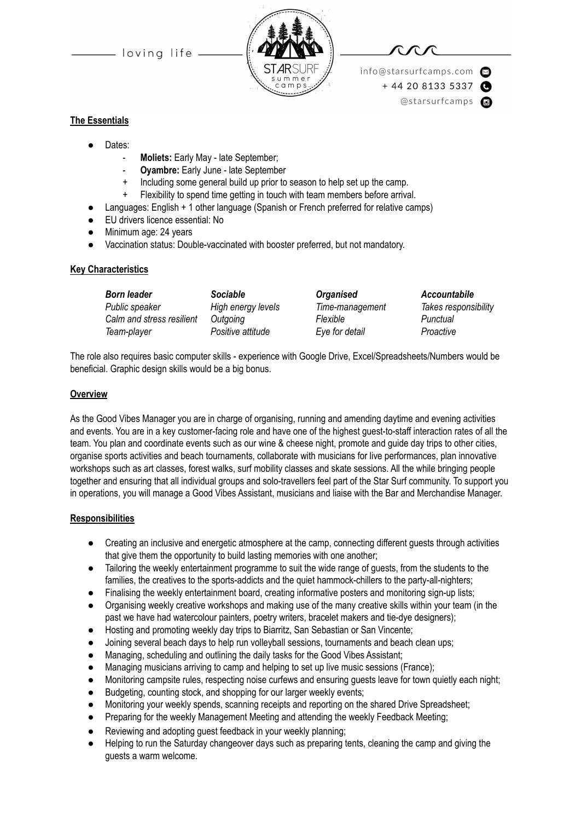- loving life



info@starsurfcamps.com  $+442081335337$ @starsurfcamps @

#### **The Essentials**

- Dates:
	- Moliets: Early May late September;
	- **Oyambre:** Early June late September
	- Including some general build up prior to season to help set up the camp.
	- Flexibility to spend time getting in touch with team members before arrival.
	- Languages: English + 1 other language (Spanish or French preferred for relative camps)
- EU drivers licence essential: No
- Minimum age: 24 years
- Vaccination status: Double-vaccinated with booster preferred, but not mandatory.

#### **Key Characteristics**

| <b>Born leader</b>        | <b>Sociable</b>    | <b>Organised</b> | Accountabile         |
|---------------------------|--------------------|------------------|----------------------|
| Public speaker            | High energy levels | Time-management  | Takes responsibility |
| Calm and stress resilient | Outaoina           | Flexible         | Punctual             |
| Team-player               | Positive attitude  | Eye for detail   | Proactive            |

The role also requires basic computer skills - experience with Google Drive, Excel/Spreadsheets/Numbers would be beneficial. Graphic design skills would be a big bonus.

#### **Overview**

As the Good Vibes Manager you are in charge of organising, running and amending daytime and evening activities and events. You are in a key customer-facing role and have one of the highest guest-to-staff interaction rates of all the team. You plan and coordinate events such as our wine & cheese night, promote and guide day trips to other cities, organise sports activities and beach tournaments, collaborate with musicians for live performances, plan innovative workshops such as art classes, forest walks, surf mobility classes and skate sessions. All the while bringing people together and ensuring that all individual groups and solo-travellers feel part of the Star Surf community. To support you in operations, you will manage a Good Vibes Assistant, musicians and liaise with the Bar and Merchandise Manager.

#### **Responsibilities**

- Creating an inclusive and energetic atmosphere at the camp, connecting different guests through activities that give them the opportunity to build lasting memories with one another;
- Tailoring the weekly entertainment programme to suit the wide range of guests, from the students to the families, the creatives to the sports-addicts and the quiet hammock-chillers to the party-all-nighters;
- Finalising the weekly entertainment board, creating informative posters and monitoring sign-up lists;
- Organising weekly creative workshops and making use of the many creative skills within your team (in the past we have had watercolour painters, poetry writers, bracelet makers and tie-dye designers);
- Hosting and promoting weekly day trips to Biarritz, San Sebastian or San Vincente;
- Joining several beach days to help run volleyball sessions, tournaments and beach clean ups;
- Managing, scheduling and outlining the daily tasks for the Good Vibes Assistant;
- Managing musicians arriving to camp and helping to set up live music sessions (France);
- Monitoring campsite rules, respecting noise curfews and ensuring guests leave for town quietly each night;
- Budgeting, counting stock, and shopping for our larger weekly events;
- Monitoring your weekly spends, scanning receipts and reporting on the shared Drive Spreadsheet;
- Preparing for the weekly Management Meeting and attending the weekly Feedback Meeting;
- Reviewing and adopting guest feedback in your weekly planning;
- Helping to run the Saturday changeover days such as preparing tents, cleaning the camp and giving the guests a warm welcome.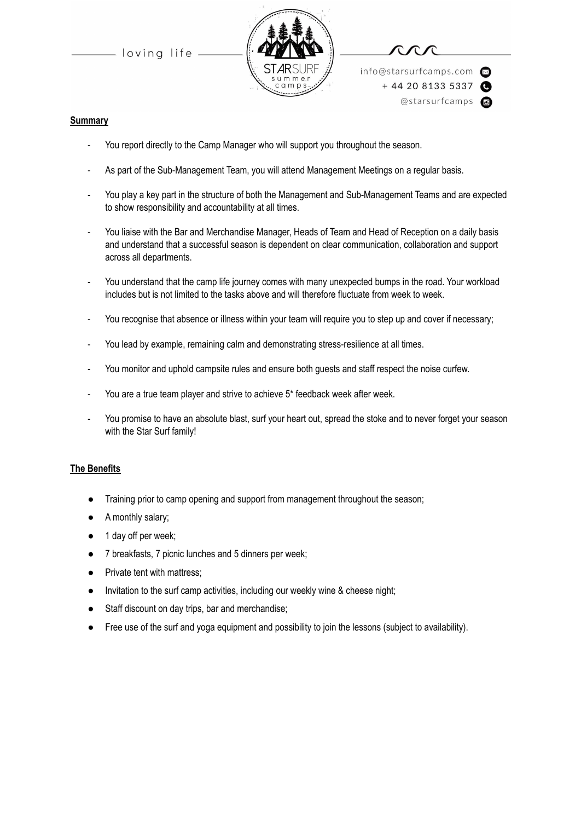loving life



info@starsurfcamps.com  $+442081335337$ @starsurfcamps @

#### **Summary**

- You report directly to the Camp Manager who will support you throughout the season.
- As part of the Sub-Management Team, you will attend Management Meetings on a regular basis.
- You play a key part in the structure of both the Management and Sub-Management Teams and are expected to show responsibility and accountability at all times.
- You liaise with the Bar and Merchandise Manager, Heads of Team and Head of Reception on a daily basis and understand that a successful season is dependent on clear communication, collaboration and support across all departments.
- You understand that the camp life journey comes with many unexpected bumps in the road. Your workload includes but is not limited to the tasks above and will therefore fluctuate from week to week.
- You recognise that absence or illness within your team will require you to step up and cover if necessary;
- You lead by example, remaining calm and demonstrating stress-resilience at all times.
- You monitor and uphold campsite rules and ensure both guests and staff respect the noise curfew.
- You are a true team player and strive to achieve 5\* feedback week after week.
- You promise to have an absolute blast, surf your heart out, spread the stoke and to never forget your season with the Star Surf family!

#### **The Benefits**

- Training prior to camp opening and support from management throughout the season;
- A monthly salary;
- 1 day off per week;
- 7 breakfasts, 7 picnic lunches and 5 dinners per week;
- Private tent with mattress;
- Invitation to the surf camp activities, including our weekly wine & cheese night;
- Staff discount on day trips, bar and merchandise;
- Free use of the surf and yoga equipment and possibility to join the lessons (subject to availability).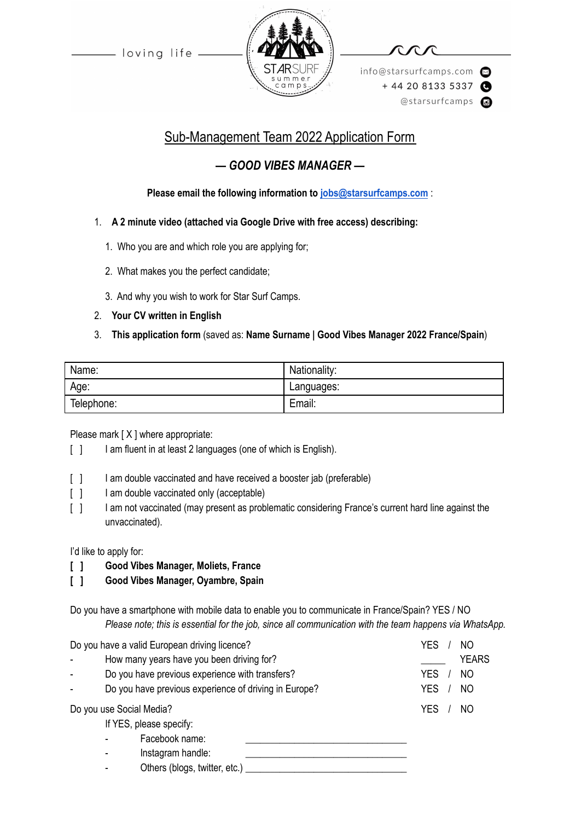- loving life



info@starsurfcamps.com  $+442081335337$ @starsurfcamps @

## Sub-Management Team 2022 Application Form

## *— GOOD VIBES MANAGER —*

### **Please email the following information to [jobs@starsurfcamps.com](mailto:jobs@starsurfcamps.com)** :

- 1. **A 2 minute video (attached via Google Drive with free access) describing:**
	- 1️. Who you are and which role you are applying for;
	- 2. What makes you the perfect candidate;
	- 3️. And why you wish to work for Star Surf Camps.
- 2. **Your CV written in English**

### 3. **This application form** (saved as: **Name Surname | Good Vibes Manager 2022 France/Spain**)

| Name:      | Nationality: |
|------------|--------------|
| Age:       | Languages:   |
| Telephone: | Email:       |

Please mark [X ] where appropriate:

- [ ] I am fluent in at least 2 languages (one of which is English).
- [  $\vert$  ] I am double vaccinated and have received a booster jab (preferable)
- [ ] I am double vaccinated only (acceptable)
- [  $1$  I am not vaccinated (may present as problematic considering France's current hard line against the unvaccinated).

I'd like to apply for:

- **[ ] Good Vibes Manager, Moliets, France**
- **[ ] Good Vibes Manager, Oyambre, Spain**

Do you have a smartphone with mobile data to enable you to communicate in France/Spain? YES / NO *Please note; this is essential for the job, since all communication with the team happens via WhatsApp.*

| Do you have a valid European driving licence?         | <b>YES</b><br>NO |
|-------------------------------------------------------|------------------|
| How many years have you been driving for?             | <b>YEARS</b>     |
| Do you have previous experience with transfers?       | <b>YES</b><br>NO |
| Do you have previous experience of driving in Europe? | YES<br>NO        |
| Do you use Social Media?                              | <b>YES</b><br>NO |
| If YES, please specify:                               |                  |
| Facebook name:                                        |                  |
| Instagram handle:                                     |                  |

Others (blogs, twitter, etc.)